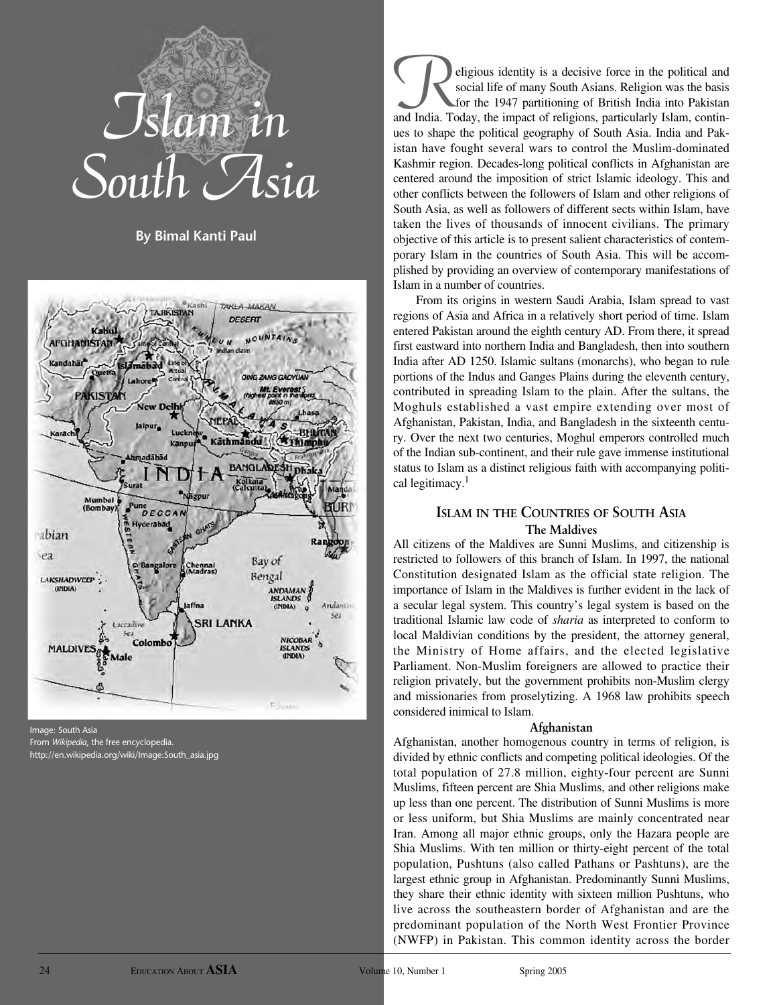

**By Bimal Kanti Paul**



Image: South Asia From *Wikipedia*, the free encyclopedia. http://en.wikipedia.org/wiki/Image:South\_asia.jpg

eligious identity is a decisive force in the political and social life of many South Asians. Religion was the basis for the 1947 partitioning of British India into Pakistan social life of many South Asians. Religion was the basis and India. Today, the impact of religions, particularly Islam, continues to shape the political geography of South Asia. India and Pakistan have fought several wars to control the Muslim-dominated Kashmir region. Decades-long political conflicts in Afghanistan are centered around the imposition of strict Islamic ideology. This and other conflicts between the followers of Islam and other religions of South Asia, as well as followers of different sects within Islam, have taken the lives of thousands of innocent civilians. The primary objective of this article is to present salient characteristics of contemporary Islam in the countries of South Asia. This will be accomplished by providing an overview of contemporary manifestations of Islam in a number of countries.

From its origins in western Saudi Arabia, Islam spread to vast regions of Asia and Africa in a relatively short period of time. Islam entered Pakistan around the eighth century AD. From there, it spread first eastward into northern India and Bangladesh, then into southern India after AD 1250. Islamic sultans (monarchs), who began to rule portions of the Indus and Ganges Plains during the eleventh century, contributed in spreading Islam to the plain. After the sultans, the Moghuls established a vast empire extending over most of Afghanistan, Pakistan, India, and Bangladesh in the sixteenth century. Over the next two centuries, Moghul emperors controlled much of the Indian sub-continent, and their rule gave immense institutional status to Islam as a distinct religious faith with accompanying political legitimacy.<sup>1</sup>

# **ISLAM IN THE COUNTRIES OF SOUTH ASIA The Maldives**

All citizens of the Maldives are Sunni Muslims, and citizenship is restricted to followers of this branch of Islam. In 1997, the national Constitution designated Islam as the official state religion. The importance of Islam in the Maldives is further evident in the lack of a secular legal system. This country's legal system is based on the traditional Islamic law code of *sharia* as interpreted to conform to local Maldivian conditions by the president, the attorney general, the Ministry of Home affairs, and the elected legislative Parliament. Non-Muslim foreigners are allowed to practice their religion privately, but the government prohibits non-Muslim clergy and missionaries from proselytizing. A 1968 law prohibits speech considered inimical to Islam.

### **Afghanistan**

Afghanistan, another homogenous country in terms of religion, is divided by ethnic conflicts and competing political ideologies. Of the total population of 27.8 million, eighty-four percent are Sunni Muslims, fifteen percent are Shia Muslims, and other religions make up less than one percent. The distribution of Sunni Muslims is more or less uniform, but Shia Muslims are mainly concentrated near Iran. Among all major ethnic groups, only the Hazara people are Shia Muslims. With ten million or thirty-eight percent of the total population, Pushtuns (also called Pathans or Pashtuns), are the largest ethnic group in Afghanistan. Predominantly Sunni Muslims, they share their ethnic identity with sixteen million Pushtuns, who live across the southeastern border of Afghanistan and are the predominant population of the North West Frontier Province (NWFP) in Pakistan. This common identity across the border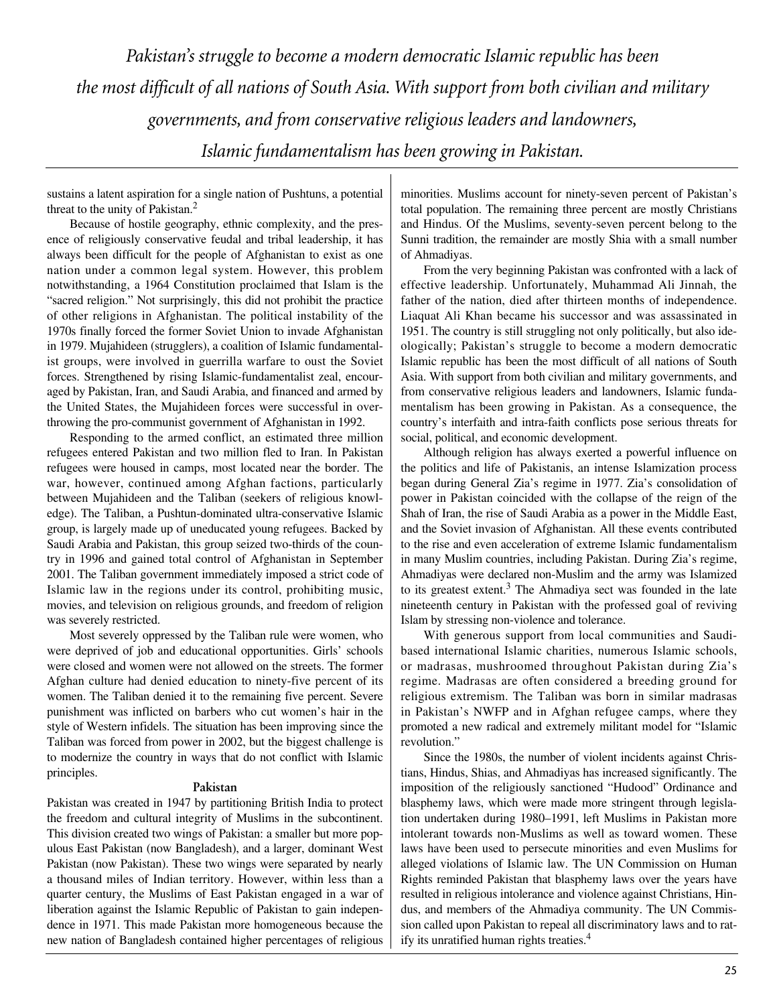*Pakistan's struggle to become a modern democratic Islamic republic has been the most difficult of all nations of South Asia. With support from both civilian and military governments, and from conservative religious leaders and landowners, Islamic fundamentalism has been growing in Pakistan.*

sustains a latent aspiration for a single nation of Pushtuns, a potential threat to the unity of Pakistan.2

Because of hostile geography, ethnic complexity, and the presence of religiously conservative feudal and tribal leadership, it has always been difficult for the people of Afghanistan to exist as one nation under a common legal system. However, this problem notwithstanding, a 1964 Constitution proclaimed that Islam is the "sacred religion." Not surprisingly, this did not prohibit the practice of other religions in Afghanistan. The political instability of the 1970s finally forced the former Soviet Union to invade Afghanistan in 1979. Mujahideen (strugglers), a coalition of Islamic fundamentalist groups, were involved in guerrilla warfare to oust the Soviet forces. Strengthened by rising Islamic-fundamentalist zeal, encouraged by Pakistan, Iran, and Saudi Arabia, and financed and armed by the United States, the Mujahideen forces were successful in overthrowing the pro-communist government of Afghanistan in 1992.

Responding to the armed conflict, an estimated three million refugees entered Pakistan and two million fled to Iran. In Pakistan refugees were housed in camps, most located near the border. The war, however, continued among Afghan factions, particularly between Mujahideen and the Taliban (seekers of religious knowledge). The Taliban, a Pushtun-dominated ultra-conservative Islamic group, is largely made up of uneducated young refugees. Backed by Saudi Arabia and Pakistan, this group seized two-thirds of the country in 1996 and gained total control of Afghanistan in September 2001. The Taliban government immediately imposed a strict code of Islamic law in the regions under its control, prohibiting music, movies, and television on religious grounds, and freedom of religion was severely restricted.

Most severely oppressed by the Taliban rule were women, who were deprived of job and educational opportunities. Girls' schools were closed and women were not allowed on the streets. The former Afghan culture had denied education to ninety-five percent of its women. The Taliban denied it to the remaining five percent. Severe punishment was inflicted on barbers who cut women's hair in the style of Western infidels. The situation has been improving since the Taliban was forced from power in 2002, but the biggest challenge is to modernize the country in ways that do not conflict with Islamic principles.

### **Pakistan**

Pakistan was created in 1947 by partitioning British India to protect the freedom and cultural integrity of Muslims in the subcontinent. This division created two wings of Pakistan: a smaller but more populous East Pakistan (now Bangladesh), and a larger, dominant West Pakistan (now Pakistan). These two wings were separated by nearly a thousand miles of Indian territory. However, within less than a quarter century, the Muslims of East Pakistan engaged in a war of liberation against the Islamic Republic of Pakistan to gain independence in 1971. This made Pakistan more homogeneous because the new nation of Bangladesh contained higher percentages of religious

minorities. Muslims account for ninety-seven percent of Pakistan's total population. The remaining three percent are mostly Christians and Hindus. Of the Muslims, seventy-seven percent belong to the Sunni tradition, the remainder are mostly Shia with a small number of Ahmadiyas.

From the very beginning Pakistan was confronted with a lack of effective leadership. Unfortunately, Muhammad Ali Jinnah, the father of the nation, died after thirteen months of independence. Liaquat Ali Khan became his successor and was assassinated in 1951. The country is still struggling not only politically, but also ideologically; Pakistan's struggle to become a modern democratic Islamic republic has been the most difficult of all nations of South Asia. With support from both civilian and military governments, and from conservative religious leaders and landowners, Islamic fundamentalism has been growing in Pakistan. As a consequence, the country's interfaith and intra-faith conflicts pose serious threats for social, political, and economic development.

Although religion has always exerted a powerful influence on the politics and life of Pakistanis, an intense Islamization process began during General Zia's regime in 1977. Zia's consolidation of power in Pakistan coincided with the collapse of the reign of the Shah of Iran, the rise of Saudi Arabia as a power in the Middle East, and the Soviet invasion of Afghanistan. All these events contributed to the rise and even acceleration of extreme Islamic fundamentalism in many Muslim countries, including Pakistan. During Zia's regime, Ahmadiyas were declared non-Muslim and the army was Islamized to its greatest extent.<sup>3</sup> The Ahmadiya sect was founded in the late nineteenth century in Pakistan with the professed goal of reviving Islam by stressing non-violence and tolerance.

With generous support from local communities and Saudibased international Islamic charities, numerous Islamic schools, or madrasas, mushroomed throughout Pakistan during Zia's regime. Madrasas are often considered a breeding ground for religious extremism. The Taliban was born in similar madrasas in Pakistan's NWFP and in Afghan refugee camps, where they promoted a new radical and extremely militant model for "Islamic revolution."

Since the 1980s, the number of violent incidents against Christians, Hindus, Shias, and Ahmadiyas has increased significantly. The imposition of the religiously sanctioned "Hudood" Ordinance and blasphemy laws, which were made more stringent through legislation undertaken during 1980–1991, left Muslims in Pakistan more intolerant towards non-Muslims as well as toward women. These laws have been used to persecute minorities and even Muslims for alleged violations of Islamic law. The UN Commission on Human Rights reminded Pakistan that blasphemy laws over the years have resulted in religious intolerance and violence against Christians, Hindus, and members of the Ahmadiya community. The UN Commission called upon Pakistan to repeal all discriminatory laws and to ratify its unratified human rights treaties.4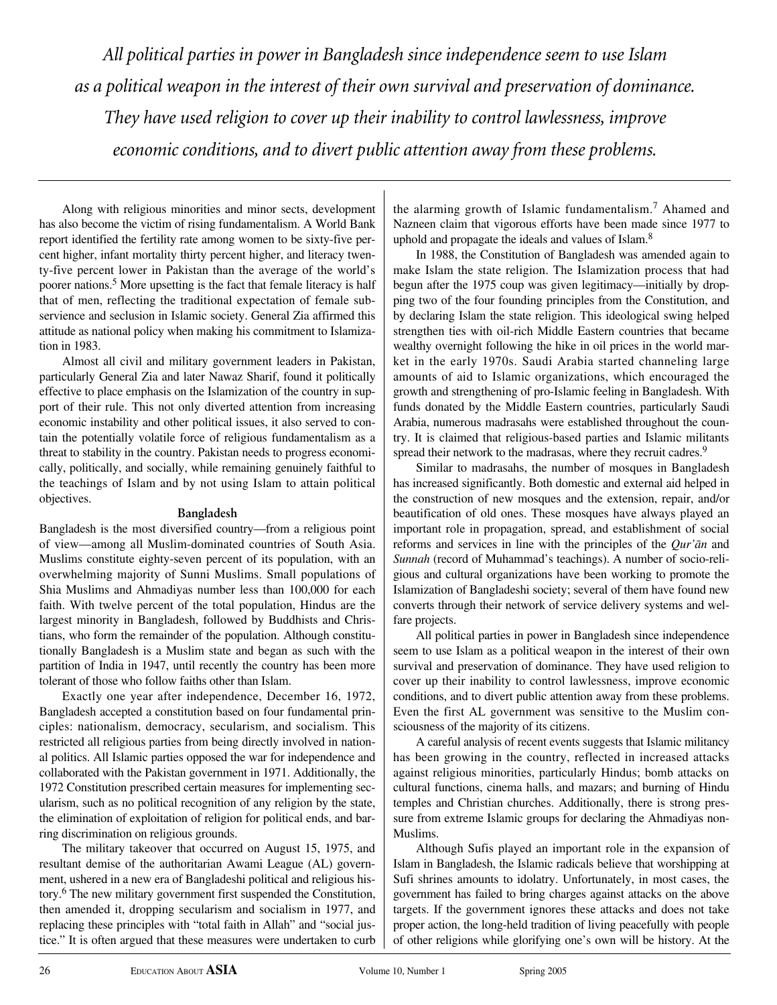*All political parties in power in Bangladesh since independence seem to use Islam as a political weapon in the interest of their own survival and preservation of dominance. They have used religion to cover up their inability to control lawlessness, improve economic conditions, and to divert public attention away from these problems.* 

Along with religious minorities and minor sects, development has also become the victim of rising fundamentalism. A World Bank report identified the fertility rate among women to be sixty-five percent higher, infant mortality thirty percent higher, and literacy twenty-five percent lower in Pakistan than the average of the world's poorer nations.5 More upsetting is the fact that female literacy is half that of men, reflecting the traditional expectation of female subservience and seclusion in Islamic society. General Zia affirmed this attitude as national policy when making his commitment to Islamization in 1983.

Almost all civil and military government leaders in Pakistan, particularly General Zia and later Nawaz Sharif, found it politically effective to place emphasis on the Islamization of the country in support of their rule. This not only diverted attention from increasing economic instability and other political issues, it also served to contain the potentially volatile force of religious fundamentalism as a threat to stability in the country. Pakistan needs to progress economically, politically, and socially, while remaining genuinely faithful to the teachings of Islam and by not using Islam to attain political objectives.

# **Bangladesh**

Bangladesh is the most diversified country—from a religious point of view—among all Muslim-dominated countries of South Asia. Muslims constitute eighty-seven percent of its population, with an overwhelming majority of Sunni Muslims. Small populations of Shia Muslims and Ahmadiyas number less than 100,000 for each faith. With twelve percent of the total population, Hindus are the largest minority in Bangladesh, followed by Buddhists and Christians, who form the remainder of the population. Although constitutionally Bangladesh is a Muslim state and began as such with the partition of India in 1947, until recently the country has been more tolerant of those who follow faiths other than Islam.

Exactly one year after independence, December 16, 1972, Bangladesh accepted a constitution based on four fundamental principles: nationalism, democracy, secularism, and socialism. This restricted all religious parties from being directly involved in national politics. All Islamic parties opposed the war for independence and collaborated with the Pakistan government in 1971. Additionally, the 1972 Constitution prescribed certain measures for implementing secularism, such as no political recognition of any religion by the state, the elimination of exploitation of religion for political ends, and barring discrimination on religious grounds.

The military takeover that occurred on August 15, 1975, and resultant demise of the authoritarian Awami League (AL) government, ushered in a new era of Bangladeshi political and religious history.6 The new military government first suspended the Constitution, then amended it, dropping secularism and socialism in 1977, and replacing these principles with "total faith in Allah" and "social justice." It is often argued that these measures were undertaken to curb the alarming growth of Islamic fundamentalism.<sup>7</sup> Ahamed and Nazneen claim that vigorous efforts have been made since 1977 to uphold and propagate the ideals and values of Islam.<sup>8</sup>

In 1988, the Constitution of Bangladesh was amended again to make Islam the state religion. The Islamization process that had begun after the 1975 coup was given legitimacy—initially by dropping two of the four founding principles from the Constitution, and by declaring Islam the state religion. This ideological swing helped strengthen ties with oil-rich Middle Eastern countries that became wealthy overnight following the hike in oil prices in the world market in the early 1970s. Saudi Arabia started channeling large amounts of aid to Islamic organizations, which encouraged the growth and strengthening of pro-Islamic feeling in Bangladesh. With funds donated by the Middle Eastern countries, particularly Saudi Arabia, numerous madrasahs were established throughout the country. It is claimed that religious-based parties and Islamic militants spread their network to the madrasas, where they recruit cadres.<sup>9</sup>

Similar to madrasahs, the number of mosques in Bangladesh has increased significantly. Both domestic and external aid helped in the construction of new mosques and the extension, repair, and/or beautification of old ones. These mosques have always played an important role in propagation, spread, and establishment of social reforms and services in line with the principles of the *Qur'an* and *Sunnah* (record of Muhammad's teachings). A number of socio-religious and cultural organizations have been working to promote the Islamization of Bangladeshi society; several of them have found new converts through their network of service delivery systems and welfare projects.

All political parties in power in Bangladesh since independence seem to use Islam as a political weapon in the interest of their own survival and preservation of dominance. They have used religion to cover up their inability to control lawlessness, improve economic conditions, and to divert public attention away from these problems. Even the first AL government was sensitive to the Muslim consciousness of the majority of its citizens.

A careful analysis of recent events suggests that Islamic militancy has been growing in the country, reflected in increased attacks against religious minorities, particularly Hindus; bomb attacks on cultural functions, cinema halls, and mazars; and burning of Hindu temples and Christian churches. Additionally, there is strong pressure from extreme Islamic groups for declaring the Ahmadiyas non-Muslims.

Although Sufis played an important role in the expansion of Islam in Bangladesh, the Islamic radicals believe that worshipping at Sufi shrines amounts to idolatry. Unfortunately, in most cases, the government has failed to bring charges against attacks on the above targets. If the government ignores these attacks and does not take proper action, the long-held tradition of living peacefully with people of other religions while glorifying one's own will be history. At the